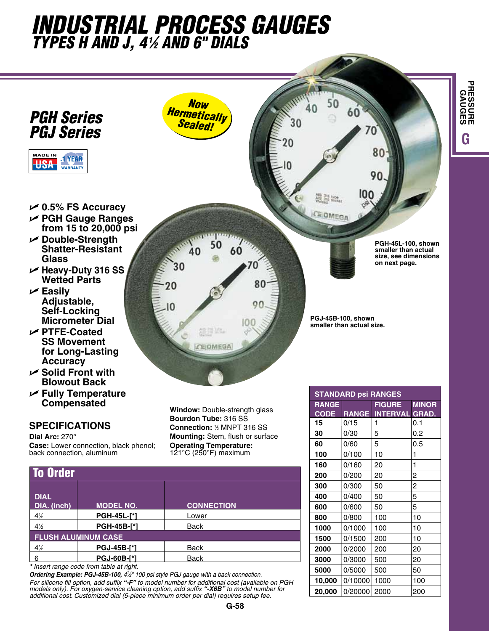## *industrial process gauges types h and j, 41 ⁄2 and 6" dials*



*\* Insert range code from table at right.* 

6 **PGJ-60B-[\*]** Back

*Ordering Example: PGJ-45B-100, 41 ⁄2" 100 psi style PGJ gauge with a back connection. For silicone fill option, add suffix "-F" to model number for additional cost (available on PGH* 

*models only). For oxygen-service cleaning option, add suffix "-X6B" to model number for additional cost. Customized dial (5-piece minimum order per dial) requires setup fee.* 

**3000** 0/3000 500 20 **5000** 0/5000 500 50 **10,000** 0/10000 1000 100 **20,000** 0/20000 2000 200